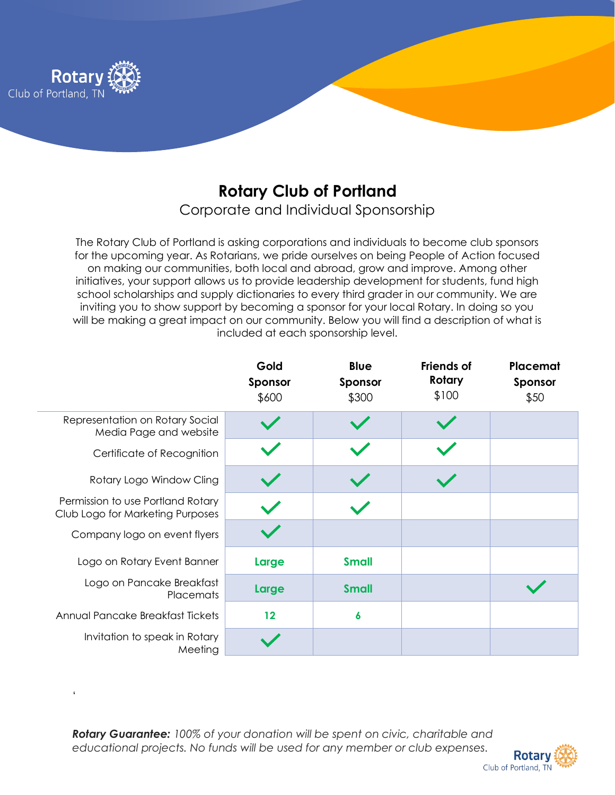

## **Rotary Club of Portland**

Corporate and Individual Sponsorship

The Rotary Club of Portland is asking corporations and individuals to become club sponsors for the upcoming year. As Rotarians, we pride ourselves on being People of Action focused on making our communities, both local and abroad, grow and improve. Among other initiatives, your support allows us to provide leadership development for students, fund high school scholarships and supply dictionaries to every third grader in our community. We are inviting you to show support by becoming a sponsor for your local Rotary. In doing so you will be making a great impact on our community. Below you will find a description of what is included at each sponsorship level.

|                                                                       | Gold<br>Sponsor<br>\$600 | <b>Blue</b><br>Sponsor<br>\$300 | <b>Friends of</b><br>Rotary<br>\$100 | Placemat<br>Sponsor<br>\$50 |
|-----------------------------------------------------------------------|--------------------------|---------------------------------|--------------------------------------|-----------------------------|
| Representation on Rotary Social<br>Media Page and website             |                          |                                 |                                      |                             |
| Certificate of Recognition                                            |                          |                                 |                                      |                             |
| Rotary Logo Window Cling                                              |                          |                                 |                                      |                             |
| Permission to use Portland Rotary<br>Club Logo for Marketing Purposes |                          |                                 |                                      |                             |
| Company logo on event flyers                                          |                          |                                 |                                      |                             |
| Logo on Rotary Event Banner                                           | Large                    | <b>Small</b>                    |                                      |                             |
| Logo on Pancake Breakfast<br>Placemats                                | Large                    | <b>Small</b>                    |                                      |                             |
| Annual Pancake Breakfast Tickets                                      | 12                       | 6                               |                                      |                             |
| Invitation to speak in Rotary<br>Meeting                              |                          |                                 |                                      |                             |

*Rotary Guarantee: 100% of your donation will be spent on civic, charitable and educational projects. No funds will be used for any member or club expenses.*

'

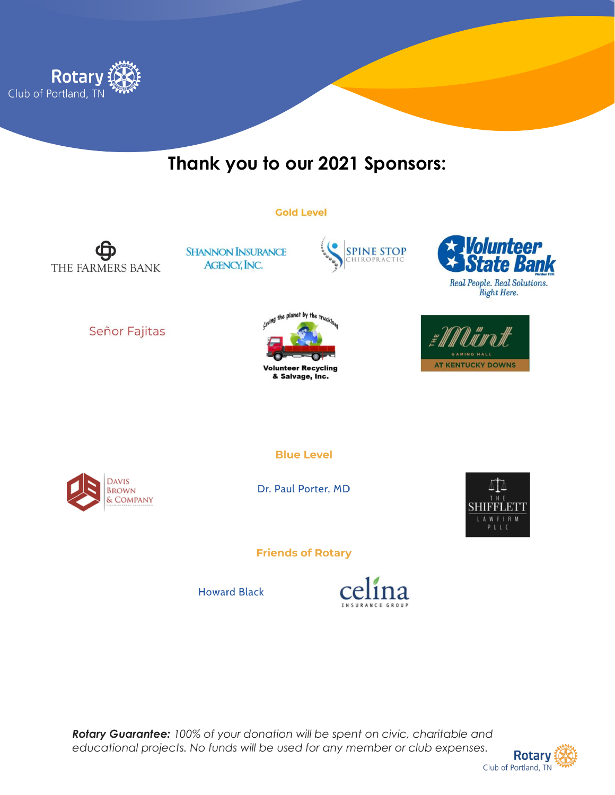

## Thank you to our 2021 Sponsors:

## **Gold Level**

THE FARMERS BANK

**SHANNON INSURANCE AGENCY, INC.** 





Real People. Real Solutions. Right Here.



Señor Fajitas





**Blue Level** 

Dr. Paul Porter, MD



**Friends of Rotary** 

**Howard Black** 



Rotary Guarantee: 100% of your donation will be spent on civic, charitable and educational projects. No funds will be used for any member or club expenses.